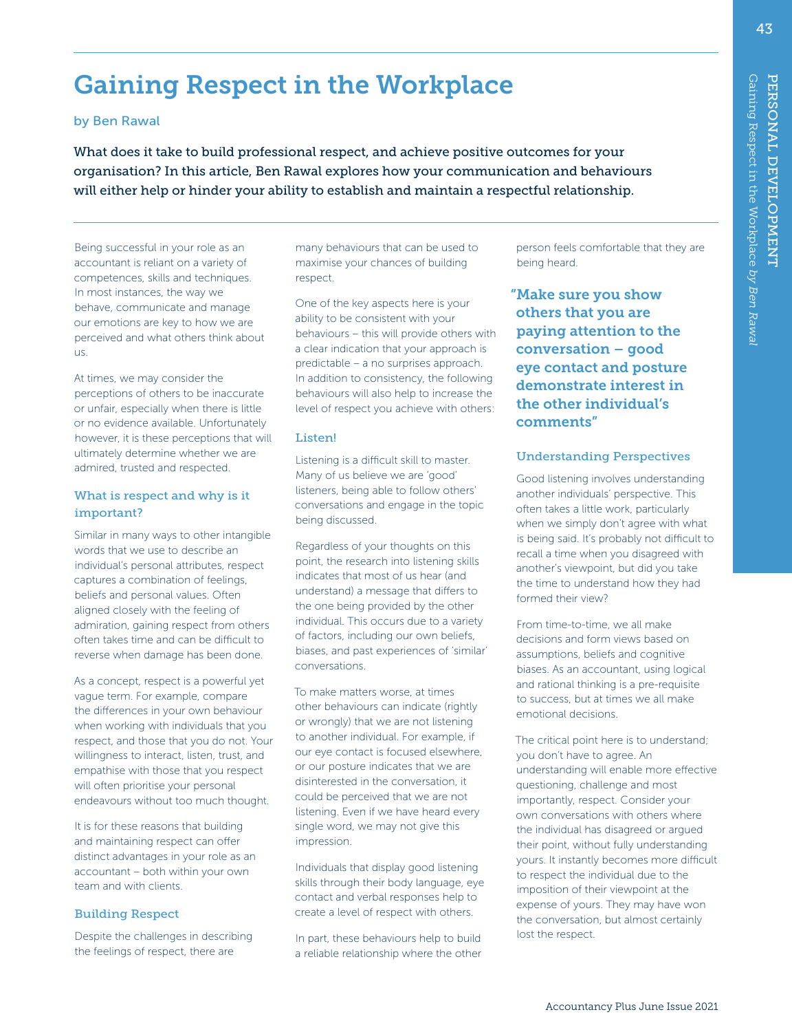43

# Gaining Respect in the Workplace

## by Ben Rawal

What does it take to build professional respect, and achieve positive outcomes for your organisation? In this article, Ben Rawal explores how your communication and behaviours will either help or hinder your ability to establish and maintain a respectful relationship.

Being successful in your role as an accountant is reliant on a variety of competences, skills and techniques. In most instances, the way we behave, communicate and manage our emotions are key to how we are perceived and what others think about us.

At times, we may consider the perceptions of others to be inaccurate or unfair, especially when there is little or no evidence available. Unfortunately however, it is these perceptions that will ultimately determine whether we are admired, trusted and respected.

## What is respect and why is it important?

Similar in many ways to other intangible words that we use to describe an individual's personal attributes, respect captures a combination of feelings, beliefs and personal values. Often aligned closely with the feeling of admiration, gaining respect from others often takes time and can be difficult to reverse when damage has been done.

As a concept, respect is a powerful yet vague term. For example, compare the differences in your own behaviour when working with individuals that you respect, and those that you do not. Your willingness to interact, listen, trust, and empathise with those that you respect will often prioritise your personal endeavours without too much thought.

It is for these reasons that building and maintaining respect can offer distinct advantages in your role as an accountant – both within your own team and with clients.

## Building Respect

Despite the challenges in describing the feelings of respect, there are

many behaviours that can be used to maximise your chances of building respect.

One of the key aspects here is your ability to be consistent with your behaviours – this will provide others with a clear indication that your approach is predictable – a no surprises approach. In addition to consistency, the following behaviours will also help to increase the level of respect you achieve with others:

## Listen!

Listening is a difficult skill to master. Many of us believe we are 'good' listeners, being able to follow others' conversations and engage in the topic being discussed.

Regardless of your thoughts on this point, the research into listening skills indicates that most of us hear (and understand) a message that differs to the one being provided by the other individual. This occurs due to a variety of factors, including our own beliefs, biases, and past experiences of 'similar' conversations.

To make matters worse, at times other behaviours can indicate (rightly or wrongly) that we are not listening to another individual. For example, if our eye contact is focused elsewhere, or our posture indicates that we are disinterested in the conversation, it could be perceived that we are not listening. Even if we have heard every single word, we may not give this impression.

Individuals that display good listening skills through their body language, eye contact and verbal responses help to create a level of respect with others.

In part, these behaviours help to build a reliable relationship where the other

person feels comfortable that they are being heard.

"Make sure you show others that you are paying attention to the conversation – good eye contact and posture demonstrate interest in the other individual's comments"

## Understanding Perspectives

Good listening involves understanding another individuals' perspective. This often takes a little work, particularly when we simply don't agree with what is being said. It's probably not difficult to recall a time when you disagreed with another's viewpoint, but did you take the time to understand how they had formed their view?

From time-to-time, we all make decisions and form views based on assumptions, beliefs and cognitive biases. As an accountant, using logical and rational thinking is a pre-requisite to success, but at times we all make emotional decisions.

The critical point here is to understand; you don't have to agree. An understanding will enable more effective questioning, challenge and most importantly, respect. Consider your own conversations with others where the individual has disagreed or argued their point, without fully understanding yours. It instantly becomes more difficult to respect the individual due to the imposition of their viewpoint at the expense of yours. They may have won the conversation, but almost certainly lost the respect.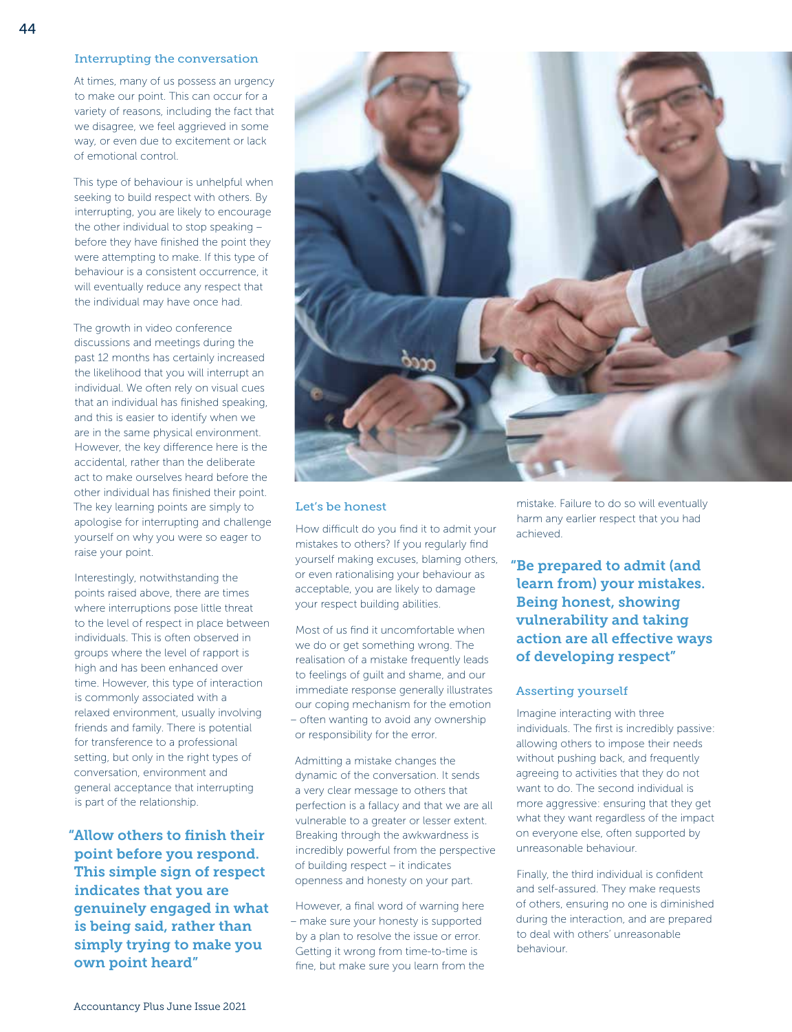## Interrupting the conversation

At times, many of us possess an urgency to make our point. This can occur for a variety of reasons, including the fact that we disagree, we feel aggrieved in some way, or even due to excitement or lack of emotional control.

This type of behaviour is unhelpful when seeking to build respect with others. By interrupting, you are likely to encourage the other individual to stop speaking – before they have finished the point they were attempting to make. If this type of behaviour is a consistent occurrence, it will eventually reduce any respect that the individual may have once had.

The growth in video conference discussions and meetings during the past 12 months has certainly increased the likelihood that you will interrupt an individual. We often rely on visual cues that an individual has finished speaking, and this is easier to identify when we are in the same physical environment. However, the key difference here is the accidental, rather than the deliberate act to make ourselves heard before the other individual has finished their point. The key learning points are simply to apologise for interrupting and challenge yourself on why you were so eager to raise your point.

Interestingly, notwithstanding the points raised above, there are times where interruptions pose little threat to the level of respect in place between individuals. This is often observed in groups where the level of rapport is high and has been enhanced over time. However, this type of interaction is commonly associated with a relaxed environment, usually involving friends and family. There is potential for transference to a professional setting, but only in the right types of conversation, environment and general acceptance that interrupting is part of the relationship.

"Allow others to finish their point before you respond. This simple sign of respect indicates that you are genuinely engaged in what is being said, rather than simply trying to make you own point heard"



## Let's be honest

How difficult do you find it to admit your mistakes to others? If you regularly find yourself making excuses, blaming others, or even rationalising your behaviour as acceptable, you are likely to damage your respect building abilities.

Most of us find it uncomfortable when we do or get something wrong. The realisation of a mistake frequently leads to feelings of guilt and shame, and our immediate response generally illustrates our coping mechanism for the emotion – often wanting to avoid any ownership or responsibility for the error.

Admitting a mistake changes the dynamic of the conversation. It sends a very clear message to others that perfection is a fallacy and that we are all vulnerable to a greater or lesser extent. Breaking through the awkwardness is incredibly powerful from the perspective of building respect – it indicates openness and honesty on your part.

However, a final word of warning here – make sure your honesty is supported by a plan to resolve the issue or error. Getting it wrong from time-to-time is fine, but make sure you learn from the mistake. Failure to do so will eventually harm any earlier respect that you had achieved.

"Be prepared to admit (and learn from) your mistakes. Being honest, showing vulnerability and taking action are all effective ways of developing respect"

#### Asserting yourself

Imagine interacting with three individuals. The first is incredibly passive: allowing others to impose their needs without pushing back, and frequently agreeing to activities that they do not want to do. The second individual is more aggressive: ensuring that they get what they want regardless of the impact on everyone else, often supported by unreasonable behaviour.

Finally, the third individual is confident and self-assured. They make requests of others, ensuring no one is diminished during the interaction, and are prepared to deal with others' unreasonable behaviour.